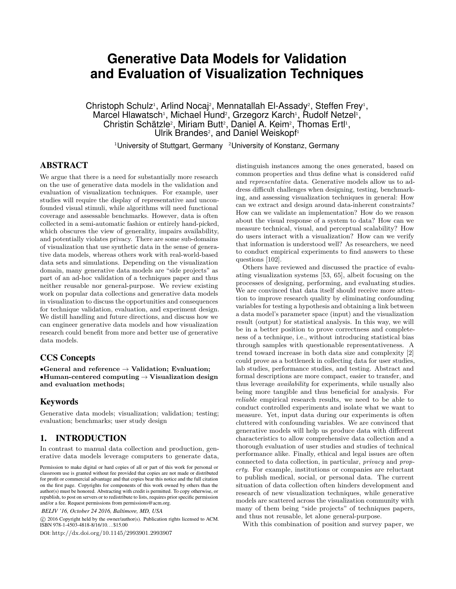# **Generative Data Models for Validation and Evaluation of Visualization Techniques**

Christoph Schulz<sup>1</sup>, Arlind Nocaj<sup>2</sup>, Mennatallah El-Assady<sup>2</sup>, Steffen Frey<sup>1</sup>, Marcel Hlawatsch<sup>1</sup>, Michael Hund<sup>2</sup>, Grzegorz Karch<sup>1</sup>, Rudolf Netzel<sup>1</sup>, Christin Schätzle<sup>2</sup>, Miriam Butt<sup>2</sup>, Daniel A. Keim<sup>2</sup>, Thomas Ertl<sup>1</sup>, Ulrik Brandes<sup>2</sup>, and Daniel Weiskopf<sup>1</sup>

<sup>1</sup>University of Stuttgart, Germany <sup>2</sup>University of Konstanz, Germany

# ABSTRACT

We argue that there is a need for substantially more research on the use of generative data models in the validation and evaluation of visualization techniques. For example, user studies will require the display of representative and unconfounded visual stimuli, while algorithms will need functional coverage and assessable benchmarks. However, data is often collected in a semi-automatic fashion or entirely hand-picked, which obscures the view of generality, impairs availability, and potentially violates privacy. There are some sub-domains of visualization that use synthetic data in the sense of generative data models, whereas others work with real-world-based data sets and simulations. Depending on the visualization domain, many generative data models are "side projects" as part of an ad-hoc validation of a techniques paper and thus neither reusable nor general-purpose. We review existing work on popular data collections and generative data models in visualization to discuss the opportunities and consequences for technique validation, evaluation, and experiment design. We distill handling and future directions, and discuss how we can engineer generative data models and how visualization research could benefit from more and better use of generative data models.

### CCS Concepts

•**General and reference** → **Validation; Evaluation;** •**Human-centered computing** → **Visualization design and evaluation methods;**

## Keywords

Generative data models; visualization; validation; testing; evaluation; benchmarks; user study design

# 1. INTRODUCTION

In contrast to manual data collection and production, generative data models leverage computers to generate data,

*BELIV '16, October 24 2016, Baltimore, MD, USA*

 c 2016 Copyright held by the owner/author(s). Publication rights licensed to ACM. ISBN 978-1-4503-4818-8/16/10. . . \$15.00

DOI: <http://dx.doi.org/10.1145/2993901.2993907>

distinguish instances among the ones generated, based on common properties and thus define what is considered *valid* and *representative* data. Generative models allow us to address difficult challenges when designing, testing, benchmarking, and assessing visualization techniques in general: How can we extract and design around data-inherent constraints? How can we validate an implementation? How do we reason about the visual response of a system to data? How can we measure technical, visual, and perceptual scalability? How do users interact with a visualization? How can we verify that information is understood well? As researchers, we need to conduct empirical experiments to find answers to these questions [\[102\]](#page-11-0).

Others have reviewed and discussed the practice of evaluating visualization systems [\[53,](#page-9-0) [65\]](#page-10-0), albeit focusing on the processes of designing, performing, and evaluating studies. We are convinced that data itself should receive more attention to improve research quality by eliminating confounding variables for testing a hypothesis and obtaining a link between a data model's parameter space (input) and the visualization result (output) for statistical analysis. In this way, we will be in a better position to prove correctness and completeness of a technique, i.e., without introducing statistical bias through samples with questionable representativeness. A trend toward increase in both data size and complexity [\[2\]](#page-7-0) could prove as a bottleneck in collecting data for user studies, lab studies, performance studies, and testing. Abstract and formal descriptions are more compact, easier to transfer, and thus leverage *availability* for experiments, while usually also being more tangible and thus beneficial for analysis. For *reliable* empirical research results, we need to be able to conduct controlled experiments and isolate what we want to measure. Yet, input data during our experiments is often cluttered with confounding variables. We are convinced that generative models will help us produce data with different characteristics to allow comprehensive data collection and a thorough evaluation of user studies and studies of technical performance alike. Finally, ethical and legal issues are often connected to data collection, in particular, *privacy* and *property*. For example, institutions or companies are reluctant to publish medical, social, or personal data. The current situation of data collection often hinders development and research of new visualization techniques, while generative models are scattered across the visualization community with many of them being "side projects" of techniques papers, and thus not reusable, let alone general-purpose.

With this combination of position and survey paper, we

Permission to make digital or hard copies of all or part of this work for personal or classroom use is granted without fee provided that copies are not made or distributed for profit or commercial advantage and that copies bear this notice and the full citation on the first page. Copyrights for components of this work owned by others than the author(s) must be honored. Abstracting with credit is permitted. To copy otherwise, or republish, to post on servers or to redistribute to lists, requires prior specific permission and/or a fee. Request permissions from permissions@acm.org.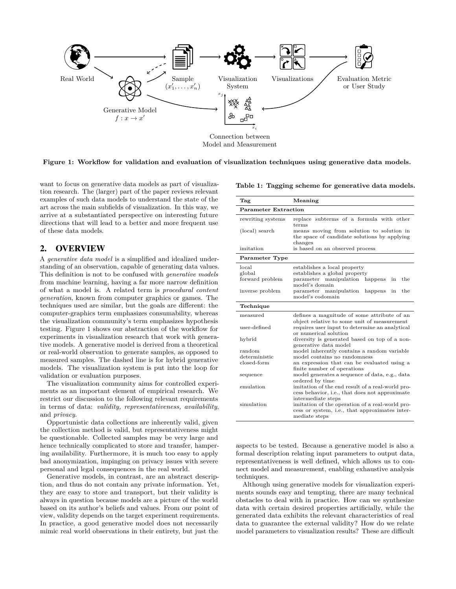

<span id="page-1-0"></span>**Figure 1: Workflow for validation and evaluation of visualization techniques using generative data models.**

want to focus on generative data models as part of visualization research. The (larger) part of the paper reviews relevant examples of such data models to understand the state of the art across the main subfields of visualization. In this way, we arrive at a substantiated perspective on interesting future directions that will lead to a better and more frequent use of these data models.

#### <span id="page-1-2"></span>2. OVERVIEW

A *generative data model* is a simplified and idealized understanding of an observation, capable of generating data values. This definition is not to be confused with *generative models* from machine learning, having a far more narrow definition of what a model is. A related term is *procedural content generation*, known from computer graphics or games. The techniques used are similar, but the goals are different: the computer-graphics term emphasizes consumability, whereas the visualization community's term emphasizes hypothesis testing. Figure [1](#page-1-0) shows our abstraction of the workflow for experiments in visualization research that work with generative models. A generative model is derived from a theoretical or real-world observation to generate samples, as opposed to measured samples. The dashed line is for hybrid generative models. The visualization system is put into the loop for validation or evaluation purposes.

The visualization community aims for controlled experiments as an important element of empirical research. We restrict our discussion to the following relevant requirements in terms of data: *validity, representativeness, availability*, and *privacy*.

Opportunistic data collections are inherently valid, given the collection method is valid, but representativeness might be questionable. Collected samples may be very large and hence technically complicated to store and transfer, hampering availability. Furthermore, it is much too easy to apply bad anonymization, impinging on privacy issues with severe personal and legal consequences in the real world.

Generative models, in contrast, are an abstract description, and thus do not contain any private information. Yet, they are easy to store and transport, but their validity is always in question because models are a picture of the world based on its author's beliefs and values. From our point of view, validity depends on the target experiment requirements. In practice, a good generative model does not necessarily mimic real world observations in their entirety, but just the

<span id="page-1-1"></span>**Table 1: Tagging scheme for generative data models.**

| Tag                         | Meaning                                                                                                                |
|-----------------------------|------------------------------------------------------------------------------------------------------------------------|
| <b>Parameter Extraction</b> |                                                                                                                        |
| rewriting systems           | replace subterms of a formula with other<br>terms                                                                      |
| (local) search              | means moving from solution to solution in<br>the space of candidate solutions by applying<br>changes                   |
| imitation                   | is based on an observed process                                                                                        |
| Parameter Type              |                                                                                                                        |
| local                       | establishes a local property                                                                                           |
| global                      | establishes a global property                                                                                          |
| forward problem             | parameter manipulation happens<br>in<br>the<br>model's domain                                                          |
| inverse problem             | parameter manipulation<br>happens<br>the<br>in<br>model's codomain                                                     |
| Technique                   |                                                                                                                        |
| measured                    | defines a magnitude of some attribute of an                                                                            |
| user-defined                | object relative to some unit of measurement<br>requires user input to determine an analytical<br>or numerical solution |
| hybrid                      | diversity is generated based on top of a non-                                                                          |
| random                      | generative data model<br>model inherently contains a random variable                                                   |
| deterministic               | model contains no randomness                                                                                           |
| closed-form                 | an expression that can be evaluated using a                                                                            |
|                             | finite number of operations                                                                                            |
| sequence                    | model generates a sequence of data, e.g., data<br>ordered by time                                                      |
| emulation                   | imitation of the end result of a real-world pro-                                                                       |
|                             | cess behavior, <i>i.e.</i> , that does not approximate<br>intermediate steps                                           |
| simulation                  | imitation of the operation of a real-world pro-                                                                        |
|                             | cess or system, <i>i.e.</i> , that approximates inter-<br>mediate steps                                                |

aspects to be tested. Because a generative model is also a formal description relating input parameters to output data, representativeness is well defined, which allows us to connect model and measurement, enabling exhaustive analysis techniques.

Although using generative models for visualization experiments sounds easy and tempting, there are many technical obstacles to deal with in practice. How can we synthesize data with certain desired properties artificially, while the generated data exhibits the relevant characteristics of real data to guarantee the external validity? How do we relate model parameters to visualization results? These are difficult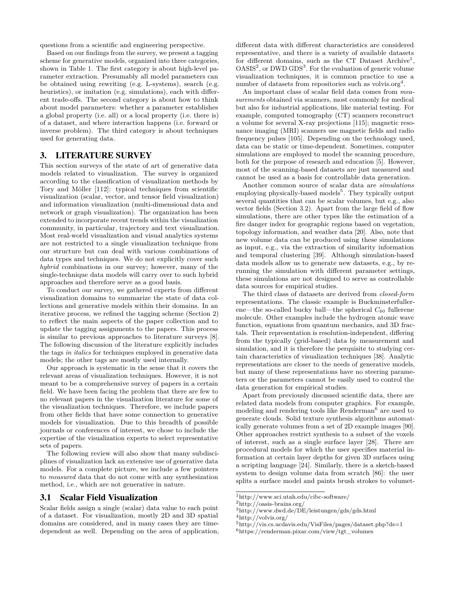questions from a scientific and engineering perspective.

Based on our findings from the survey, we present a tagging scheme for generative models, organized into three categories, shown in Table [1.](#page-1-1) The first category is about high-level parameter extraction. Presumably all model parameters can be obtained using rewriting (e.g. L-systems), search (e.g. heuristics), or imitation (e.g. simulations), each with different trade-offs. The second category is about how to think about model parameters: whether a parameter establishes a global property (i.e. all) or a local property (i.e. there is) of a dataset, and where interaction happens (i.e. forward or inverse problem). The third category is about techniques used for generating data.

## 3. LITERATURE SURVEY

This section surveys of the state of art of generative data models related to visualization. The survey is organized according to the classification of visualization methods by Tory and Möller [\[112\]](#page-11-1): typical techniques from scientific visualization (scalar, vector, and tensor field visualization) and information visualization (multi-dimensional data and network or graph visualization). The organization has been extended to incorporate recent trends within the visualization community, in particular, trajectory and text visualization. Most real-world visualization and visual analytics systems are not restricted to a single visualization technique from our structure but can deal with various combinations of data types and techniques. We do not explicitly cover such *hybrid* combinations in our survey; however, many of the single-technique data models will carry over to such hybrid approaches and therefore serve as a good basis.

To conduct our survey, we gathered experts from different visualization domains to summarize the state of data collections and generative models within their domains. In an iterative process, we refined the tagging scheme (Section [2\)](#page-1-2) to reflect the main aspects of the paper collection and to update the tagging assignments to the papers. This process is similar to previous approaches to literature surveys [\[8\]](#page-8-0). The following discussion of the literature explicitly includes the tags *in italics* for techniques employed in generative data models; the other tags are mostly used internally.

Our approach is systematic in the sense that it covers the relevant areas of visualization techniques. However, it is not meant to be a comprehensive survey of papers in a certain field. We have been facing the problem that there are few to no relevant papers in the visualization literature for some of the visualization techniques. Therefore, we include papers from other fields that have some connection to generative models for visualization. Due to this breadth of possible journals or conferences of interest, we chose to include the expertise of the visualization experts to select representative sets of papers.

The following review will also show that many subdisciplines of visualization lack an extensive use of generative data models. For a complete picture, we include a few pointers to *measured* data that do not come with any synthesization method, i.e., which are not generative in nature.

#### 3.1 Scalar Field Visualization

Scalar fields assign a single (scalar) data value to each point of a dataset. For visualization, mostly 2D and 3D spatial domains are considered, and in many cases they are timedependent as well. Depending on the area of application, different data with different characteristics are considered representative, and there is a variety of available datasets for different domains, such as the CT Dataset Archive<sup>[1](#page-2-0)</sup>, OASIS<sup>[2](#page-2-1)</sup>, or DWD GDS<sup>[3](#page-2-2)</sup>. For the evaluation of generic volume visualization techniques, it is common practice to use a number of datasets from repositories such as volvis.org<sup>[4](#page-2-3)</sup>.

An important class of scalar field data comes from *measurements* obtained via scanners, most commonly for medical but also for industrial applications, like material testing. For example, computed tomography (CT) scanners reconstruct a volume for several X-ray projections [\[115\]](#page-11-2); magnetic resonance imaging (MRI) scanners use magnetic fields and radio frequency pulses [\[105\]](#page-11-3). Depending on the technology used, data can be static or time-dependent. Sometimes, computer simulations are employed to model the scanning procedure, both for the purpose of research and education [\[5\]](#page-8-1). However, most of the scanning-based datasets are just measured and cannot be used as a basis for controllable data generation.

Another common source of scalar data are *simulations* employing physically-based models<sup>[5](#page-2-4)</sup>. They typically output several quantities that can be scalar volumes, but e.g., also vector fields (Section [3.2\)](#page-3-0). Apart from the large field of flow simulations, there are other types like the estimation of a fire danger index for geographic regions based on vegetation, topology information, and weather data [\[20\]](#page-8-2). Also, note that new volume data can be produced using these simulations as input, e.g., via the extraction of similarity information and temporal clustering [\[39\]](#page-9-1). Although simulation-based data models allow us to generate new datasets, e.g., by rerunning the simulation with different parameter settings, these simulations are not designed to serve as controllable data sources for empirical studies.

The third class of datasets are derived from *closed-form* representations. The classic example is Buckminsterfullerene—the so-called bucky ball—the spherical  $C_{60}$  fullerene molecule. Other examples include the hydrogen atomic wave function, equations from quantum mechanics, and 3D fractals. Their representation is resolution-independent, differing from the typically (grid-based) data by measurement and simulation, and it is therefore the perquisite to studying certain characteristics of visualization techniques [\[38\]](#page-9-2). Analytic representations are closer to the needs of generative models, but many of these representations have no steering parameters or the parameters cannot be easily used to control the data generation for empirical studies.

Apart from previously discussed scientific data, there are related data models from computer graphics. For example, modeling and rendering tools like Renderman<sup>[6](#page-2-5)</sup> are used to generate clouds. Solid texture synthesis algorithms automatically generate volumes from a set of 2D example images [\[90\]](#page-11-4). Other approaches restrict synthesis to a subset of the voxels of interest, such as a single surface layer [\[28\]](#page-8-3). There are procedural models for which the user specifies material information at certain layer depths for given 3D surfaces using a scripting language [\[24\]](#page-8-4). Similarly, there is a sketch-based system to design volume data from scratch [\[86\]](#page-10-1): the user splits a surface model and paints brush strokes to volumet-

<span id="page-2-0"></span><sup>1</sup><http://www.sci.utah.edu/cibc-software/>

<span id="page-2-1"></span><sup>2</sup><http://oasis-brains.org/>

<span id="page-2-2"></span> $3$ <http://www.dwd.de/DE/leistungen/gds/gds.html>

<span id="page-2-3"></span> $^4$ <http://volvis.org/>

<span id="page-2-4"></span><sup>5</sup><http://vis.cs.ucdavis.edu/VisFiles/pages/dataset.php?ds=1>

<span id="page-2-5"></span> $^6$ [https://renderman.pixar.com/view/tgt\\_volumes](https://renderman.pixar.com/view/tgt_volumes)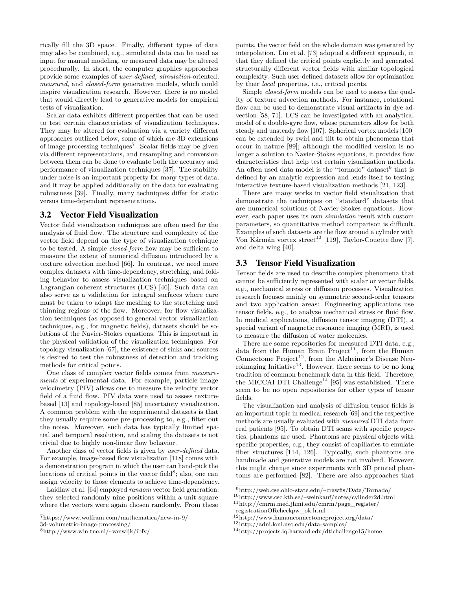rically fill the 3D space. Finally, different types of data may also be combined, e.g., simulated data can be used as input for manual modeling, or measured data may be altered procedurally. In short, the computer graphics approaches provide some examples of *user-defined, simulation-*oriented, *measured*, and *closed-form* generative models, which could inspire visualization research. However, there is no model that would directly lead to generative models for empirical tests of visualization.

Scalar data exhibits different properties that can be used to test certain characteristics of visualization techniques. They may be altered for evaluation via a variety different approaches outlined below, some of which are 3D extensions of image processing techniques<sup>[7](#page-3-1)</sup>. Scalar fields may be given via different representations, and resampling and conversion between them can be done to evaluate both the accuracy and performance of visualization techniques [\[37\]](#page-9-3). The stability under noise is an important property for many types of data, and it may be applied additionally on the data for evaluating robustness [\[39\]](#page-9-1). Finally, many techniques differ for static versus time-dependent representations.

#### <span id="page-3-0"></span>3.2 Vector Field Visualization

Vector field visualization techniques are often used for the analysis of fluid flow. The structure and complexity of the vector field depend on the type of visualization technique to be tested. A simple *closed-form* flow may be sufficient to measure the extent of numerical diffusion introduced by a texture advection method [\[66\]](#page-10-2). In contrast, we need more complex datasets with time-dependency, stretching, and folding behavior to assess visualization techniques based on Lagrangian coherent structures (LCS) [\[46\]](#page-9-4). Such data can also serve as a validation for integral surfaces where care must be taken to adapt the meshing to the stretching and thinning regions of the flow. Moreover, for flow visualization techniques (as opposed to general vector visualization techniques, e.g., for magnetic fields), datasets should be solutions of the Navier-Stokes equations. This is important in the physical validation of the visualization techniques. For topology visualization [\[67\]](#page-10-3), the existence of sinks and sources is desired to test the robustness of detection and tracking methods for critical points.

One class of complex vector fields comes from *measurements* of experimental data. For example, particle image velocimetry (PIV) allows one to measure the velocity vector field of a fluid flow. PIV data were used to assess texturebased [\[13\]](#page-8-5) and topology-based [\[85\]](#page-10-4) uncertainty visualization. A common problem with the experimental datasets is that they usually require some pre-processing to, e.g., filter out the noise. Moreover, such data has typically limited spatial and temporal resolution, and scaling the datasets is not trivial due to highly non-linear flow behavior.

Another class of vector fields is given by *user-defined* data. For example, image-based flow visualization [\[118\]](#page-12-0) comes with a demonstration program in which the user can hand-pick the locations of critical points in the vector field<sup>[8](#page-3-2)</sup>; also, one can assign velocity to those elements to achieve time-dependency.

Laidlaw et al. [\[64\]](#page-10-5) employed *random* vector field generation: they selected randomly nine positions within a unit square where the vectors were again chosen randomly. From these

points, the vector field on the whole domain was generated by interpolation. Liu et al. [\[73\]](#page-10-6) adopted a different approach, in that they defined the critical points explicitly and generated structurally different vector fields with similar topological complexity. Such user-defined datasets allow for optimization by their *local* properties, i.e., critical points.

Simple *closed-form* models can be used to assess the quality of texture advection methods. For instance, rotational flow can be used to demonstrate visual artifacts in dye advection [\[58,](#page-9-5) [71\]](#page-10-7). LCS can be investigated with an analytical model of a double-gyre flow, whose parameters allow for both steady and unsteady flow [\[107\]](#page-11-5). Spherical vortex models [\[100\]](#page-11-6) can be extended by swirl and tilt to obtain phenomena that occur in nature [\[89\]](#page-11-7); although the modified version is no longer a solution to Navier-Stokes equations, it provides flow characteristics that help test certain visualization methods. An often used data model is the "tornado" dataset<sup>[9](#page-3-3)</sup> that is defined by an analytic expression and lends itself to testing interactive texture-based visualization methods [\[21,](#page-8-6) [123\]](#page-12-1).

There are many works in vector field visualization that demonstrate the techniques on "standard" datasets that are numerical solutions of Navier-Stokes equations. However, each paper uses its own *simulation* result with custom parameters, so quantitative method comparison is difficult. Examples of such datasets are the flow around a cylinder with Von Kármán vortex street<sup>[10](#page-3-4)</sup> [\[119\]](#page-12-2), Taylor-Couette flow [\[7\]](#page-8-7), and delta wing [\[40\]](#page-9-6).

#### 3.3 Tensor Field Visualization

Tensor fields are used to describe complex phenomena that cannot be sufficiently represented with scalar or vector fields, e.g., mechanical stress or diffusion processes. Visualization research focuses mainly on symmetric second-order tensors and two application areas: Engineering applications use tensor fields, e.g., to analyze mechanical stress or fluid flow. In medical applications, diffusion tensor imaging (DTI), a special variant of magnetic resonance imaging (MRI), is used to measure the diffusion of water molecules.

There are some repositories for measured DTI data, e.g., data from the Human Brain  $Project<sup>11</sup>$  $Project<sup>11</sup>$  $Project<sup>11</sup>$ , from the Human Connectome Project<sup>[12](#page-3-6)</sup>, from the Alzheimer's Disease Neu-roimaging Initiative<sup>[13](#page-3-7)</sup>. However, there seems to be no long tradition of common benchmark data in this field. Therefore, the MICCAI DTI Challenge<sup>[14](#page-3-8)</sup> [\[95\]](#page-11-8) was established. There seem to be no open repositories for other types of tensor fields.

The visualization and analysis of diffusion tensor fields is an important topic in medical research [\[69\]](#page-10-8) and the respective methods are usually evaluated with *measured* DTI data from real patients [\[95\]](#page-11-8). To obtain DTI scans with specific properties, phantoms are used. Phantoms are physical objects with specific properties, e.g., they consist of capillaries to emulate fiber structures [\[114,](#page-11-9) [126\]](#page-12-3). Typically, such phantoms are handmade and generative models are not involved. However, this might change since experiments with 3D printed phantoms are performed [\[82\]](#page-10-9). There are also approaches that

<span id="page-3-1"></span><sup>7</sup>[https://www.wolfram.com/mathematica/new-in-9/](https://www.wolfram.com/mathematica/new-in-9/3d-volumetric-image-processing/)

[<sup>3</sup>d-volumetric-image-processing/](https://www.wolfram.com/mathematica/new-in-9/3d-volumetric-image-processing/)

<span id="page-3-2"></span><sup>8</sup><http://www.win.tue.nl/~vanwijk/ibfv/>

<span id="page-3-3"></span> $^9{\rm http://web.cse.ohio-state.edu/~crawfis/Data/Tornado/}$  $^9{\rm http://web.cse.ohio-state.edu/~crawfis/Data/Tornado/}$  $^9{\rm http://web.cse.ohio-state.edu/~crawfis/Data/Tornado/}$ 

<span id="page-3-4"></span><sup>10</sup><http://www.csc.kth.se/~weinkauf/notes/cylinder2d.html>

<span id="page-3-5"></span><sup>11</sup>[http://cmrm.med.jhmi.edu/cmrm/page\\_register/](http://cmrm.med.jhmi.edu/cmrm/page_register/registrationORcheckpw_ok.html) [registrationORcheckpw\\_ok.html](http://cmrm.med.jhmi.edu/cmrm/page_register/registrationORcheckpw_ok.html) <sup>12</sup><http://www.humanconnectomeproject.org/data/>

<span id="page-3-7"></span><span id="page-3-6"></span><sup>13</sup><http://adni.loni.usc.edu/data-samples/>

<span id="page-3-8"></span><sup>14</sup><http://projects.iq.harvard.edu/dtichallenge15/home>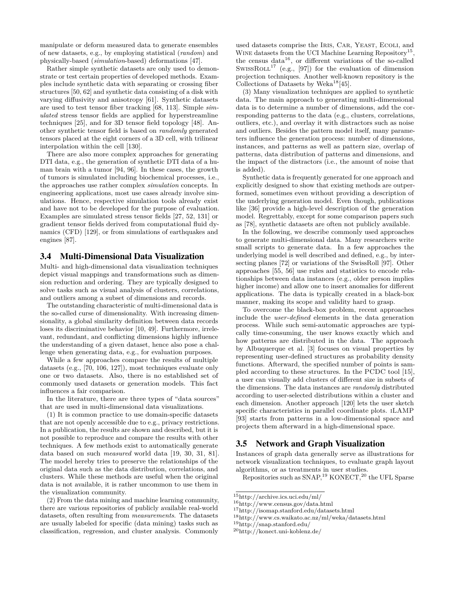manipulate or deform measured data to generate ensembles of new datasets, e.g., by employing statistical (*random*) and physically-based (*simulation*-based) deformations [\[47\]](#page-9-7).

Rather simple synthetic datasets are only used to demonstrate or test certain properties of developed methods. Examples include synthetic data with separating or crossing fiber structures [\[50,](#page-9-8) [62\]](#page-10-10) and synthetic data consisting of a disk with varying diffusivity and anisotropy [\[61\]](#page-10-11). Synthetic datasets are used to test tensor fiber tracking [\[68,](#page-10-12) [113\]](#page-11-10). Simple *simulated* stress tensor fields are applied for hyperstreamline techniques [\[25\]](#page-8-8), and for 3D tensor field topology [\[48\]](#page-9-9). Another synthetic tensor field is based on *randomly* generated tensors placed at the eight corners of a 3D cell, with trilinear interpolation within the cell [\[130\]](#page-12-4).

There are also more complex approaches for generating DTI data, e.g., the generation of synthetic DTI data of a human brain with a tumor [\[94,](#page-11-11) [96\]](#page-11-12). In these cases, the growth of tumors is simulated including biochemical processes, i.e., the approaches use rather complex *simulation* concepts. In engineering applications, most use cases already involve simulations. Hence, respective simulation tools already exist and have not to be developed for the purpose of evaluation. Examples are simulated stress tensor fields [\[27,](#page-8-9) [52,](#page-9-10) [131\]](#page-12-5) or gradient tensor fields derived from computational fluid dynamics (CFD) [\[129\]](#page-12-6), or from simulations of earthquakes and engines [\[87\]](#page-10-13).

#### 3.4 Multi-Dimensional Data Visualization

Multi- and high-dimensional data visualization techniques depict visual mappings and transformations such as dimension reduction and ordering. They are typically designed to solve tasks such as visual analysis of clusters, correlations, and outliers among a subset of dimensions and records.

The outstanding characteristic of multi-dimensional data is the so-called curse of dimensionality. With increasing dimensionality, a global similarity definition between data records loses its discriminative behavior [\[10,](#page-8-10) [49\]](#page-9-11). Furthermore, irrelevant, redundant, and conflicting dimensions highly influence the understanding of a given dataset, hence also pose a challenge when generating data, e.g., for evaluation purposes.

While a few approaches compare the results of multiple datasets (e.g., [\[70,](#page-10-14) [106,](#page-11-13) [127\]](#page-12-7)), most techniques evaluate only one or two datasets. Also, there is no established set of commonly used datasets or generation models. This fact influences a fair comparison.

In the literature, there are three types of "data sources" that are used in multi-dimensional data visualizations.

(1) It is common practice to use domain-specific datasets that are not openly accessible due to e.g., privacy restrictions. In a publication, the results are shown and described, but it is not possible to reproduce and compare the results with other techniques. A few methods exist to automatically generate data based on such *measured* world data [\[19,](#page-8-11) [30,](#page-8-12) [31,](#page-8-13) [81\]](#page-10-15). The model hereby tries to preserve the relationships of the original data such as the data distribution, correlations, and clusters. While these methods are useful when the original data is not available, it is rather uncommon to use them in the visualization community.

(2) From the data mining and machine learning community, there are various repositories of publicly available real-world datasets, often resulting from *measurements*. The datasets are usually labeled for specific (data mining) tasks such as classification, regression, and cluster analysis. Commonly

used datasets comprise the Iris, Car, Yeast, Ecoli, and WINE datasets from the UCI Machine Learning Repository<sup>[15](#page-4-0)</sup>, the census data $^{16}$  $^{16}$  $^{16}$ , or different variations of the so-called SWISSROLL<sup>[17](#page-4-2)</sup> (e.g., [\[97\]](#page-11-14)) for the evaluation of dimension projection techniques. Another well-known repository is the Collections of Datasets by Weka<sup>[18](#page-4-3)</sup>[\[45\]](#page-9-12).

(3) Many visualization techniques are applied to synthetic data. The main approach to generating multi-dimensional data is to determine a number of dimensions, add the corresponding patterns to the data (e.g., clusters, correlations, outliers, etc.), and overlay it with distractors such as noise and outliers. Besides the pattern model itself, many parameters influence the generation process: number of dimensions, instances, and patterns as well as pattern size, overlap of patterns, data distribution of patterns and dimensions, and the impact of the distractors (i.e., the amount of noise that is added).

Synthetic data is frequently generated for one approach and explicitly designed to show that existing methods are outperformed, sometimes even without providing a description of the underlying generation model. Even though, publications like [\[36\]](#page-9-13) provide a high-level description of the generation model. Regrettably, except for some comparison papers such as [\[78\]](#page-10-16), synthetic datasets are often not publicly available.

In the following, we describe commonly used approaches to generate multi-dimensional data. Many researchers write small scripts to generate data. In a few approaches the underlying model is well described and defined, e.g., by intersecting planes [\[72\]](#page-10-17) or variations of the SwissRoll [\[97\]](#page-11-14). Other approaches [\[55,](#page-9-14) [56\]](#page-9-15) use rules and statistics to encode relationships between data instances (e.g., older person implies higher income) and allow one to insert anomalies for different applications. The data is typically created in a black-box manner, making its scope and validity hard to grasp.

To overcome the black-box problem, recent approaches include the *user-defined* elements in the data generation process. While such semi-automatic approaches are typically time-consuming, the user knows exactly which and how patterns are distributed in the data. The approach by Albuquerque et al. [\[3\]](#page-8-14) focuses on visual properties by representing user-defined structures as probability density functions. Afterward, the specified number of points is sampled according to these structures. In the PCDC tool [\[15\]](#page-8-15), a user can visually add clusters of different size in subsets of the dimensions. The data instances are *randomly* distributed according to user-selected distributions within a cluster and each dimension. Another approach [\[120\]](#page-12-8) lets the user sketch specific characteristics in parallel coordinate plots. iLAMP [\[93\]](#page-11-15) starts from patterns in a low-dimensional space and projects them afterward in a high-dimensional space.

#### 3.5 Network and Graph Visualization

Instances of graph data generally serve as illustrations for network visualization techniques, to evaluate graph layout algorithms, or as treatments in user studies.

Repositories such as  $SNAP$ ,<sup>[19](#page-4-4)</sup> KONECT,<sup>[20](#page-4-5)</sup> the UFL Sparse

<span id="page-4-0"></span><sup>15</sup><http://archive.ics.uci.edu/ml/>

<span id="page-4-1"></span><sup>16</sup><http://www.census.gov/data.html>

<span id="page-4-2"></span><sup>17</sup><http://isomap.stanford.edu/datasets.html>

<span id="page-4-3"></span><sup>18</sup><http://www.cs.waikato.ac.nz/ml/weka/datasets.html>

<span id="page-4-4"></span><sup>19</sup><http://snap.stanford.edu/>

<span id="page-4-5"></span><sup>20</sup><http://konect.uni-koblenz.de/>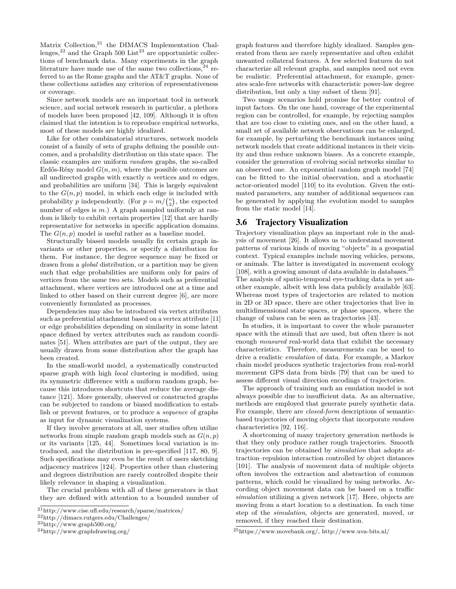Matrix Collection, $21$  the DIMACS Implementation Challenges, $^{22}$  $^{22}$  $^{22}$  and the Graph 500 List<sup>[23](#page-5-2)</sup> are opportunistic collections of benchmark data. Many experiments in the graph literature have made use of the same two collections,  $24$  referred to as the Rome graphs and the AT&T graphs. None of these collections satisfies any criterion of representativeness or coverage.

Since network models are an important tool in network science, and social network research in particular, a plethora of models have been proposed [\[42,](#page-9-16) [109\]](#page-11-16). Although it is often claimed that the intention is to reproduce empirical networks, most of these models are highly idealized.

Like for other combinatorial structures, network models consist of a family of sets of graphs defining the possible outcomes, and a probability distribution on this state space. The classic examples are uniform *random* graphs, the so-called Erdős-Rény model  $G(n, m)$ , where the possible outcomes are all undirected graphs with exactly *n* vertices and *m* edges, and probabilities are uniform [\[34\]](#page-9-17). This is largely equivalent to the  $G(n, p)$  model, in which each edge is included with probability *p* independently. (For  $p = m / \binom{n}{2}$ , the expected number of edges is m.) A graph sampled uniformly at random is likely to exhibit certain properties [\[12\]](#page-8-16) that are hardly representative for networks in specific application domains. The  $G(n, p)$  model is useful rather as a baseline model.

Structurally biased models usually fix certain graph invariants or other properties, or specify a distribution for them. For instance, the degree sequence may be fixed or drawn from a *global* distribution, or a partition may be given such that edge probabilities are uniform only for pairs of vertices from the same two sets. Models such as preferential attachment, where vertices are introduced one at a time and linked to other based on their current degree [\[6\]](#page-8-17), are more conveniently formulated as processes.

Dependencies may also be introduced via vertex attributes such as preferential attachment based on a vertex attribute [\[11\]](#page-8-18) or edge probabilities depending on similarity in some latent space defined by vertex attributes such as random coordinates [\[51\]](#page-9-18). When attributes are part of the output, they are usually drawn from some distribution after the graph has been created.

In the small-world model, a systematically constructed sparse graph with high *local* clustering is modified, using its symmetric difference with a uniform random graph, because this introduces shortcuts that reduce the average distance [\[121\]](#page-12-9). More generally, observed or constructed graphs can be subjected to random or biased modification to establish or prevent features, or to produce a *sequence* of graphs as input for dynamic visualization systems.

If they involve generators at all, user studies often utilize networks from simple random graph models such as *G*(*n, p*) or its variants [\[125,](#page-12-10) [44\]](#page-9-19). Sometimes local variation is introduced, and the distribution is pre-specified [\[117,](#page-12-11) [80,](#page-10-18) [9\]](#page-8-19). Such specifications may even be the result of users sketching adjacency matrices [\[124\]](#page-12-12). Properties other than clustering and degrees distribution are rarely controlled despite their likely relevance in shaping a visualization.

The crucial problem with all of these generators is that they are defined with attention to a bounded number of

<span id="page-5-2"></span><sup>23</sup><http://www.graph500.org/>

graph features and therefore highly idealized. Samples generated from them are rarely representative and often exhibit unwanted collateral features. A few selected features do not characterize all relevant graphs, and samples need not even be realistic. Preferential attachment, for example, generates scale-free networks with characteristic power-law degree distribution, but only a tiny subset of them [\[91\]](#page-11-17).

Two usage scenarios hold promise for better control of input factors. On the one hand, coverage of the experimental region can be controlled, for example, by rejecting samples that are too close to existing ones, and on the other hand, a small set of available network observations can be enlarged, for example, by perturbing the benchmark instances using network models that create additional instances in their vicinity and thus reduce unknown biases. As a concrete example, consider the generation of evolving social networks similar to an observed one. An exponential random graph model [\[74\]](#page-10-19) can be fitted to the initial observation, and a stochastic actor-oriented model [\[110\]](#page-11-18) to its evolution. Given the estimated parameters, any number of additional sequences can be generated by applying the evolution model to samples from the static model [\[14\]](#page-8-20).

#### 3.6 Trajectory Visualization

Trajectory visualization plays an important role in the analysis of movement [\[26\]](#page-8-21). It allows us to understand movement patterns of various kinds of moving "objects" in a geospatial context. Typical examples include moving vehicles, persons, or animals. The latter is investigated in movement ecology [\[108\]](#page-11-19), with a growing amount of data available in databases.<sup>2</sup> The analysis of spatio-temporal eye-tracking data is yet another example, albeit with less data publicly available [\[63\]](#page-10-20). Whereas most types of trajectories are related to motion in 2D or 3D space, there are other trajectories that live in multidimensional state spaces, or phase spaces, where the change of values can be seen as trajectories [\[43\]](#page-9-20).

In studies, it is important to cover the whole parameter space with the stimuli that are used, but often there is not enough *measured* real-world data that exhibit the necessary characteristics. Therefore, measurements can be used to drive a realistic *emulation* of data. For example, a Markov chain model produces synthetic trajectories from real-world movement GPS data from birds [\[79\]](#page-10-21) that can be used to assess different visual direction encodings of trajectories.

The approach of training such an emulation model is not always possible due to insufficient data. As an alternative, methods are employed that generate purely synthetic data. For example, there are *closed-form* descriptions of semanticbased trajectories of moving objects that incorporate *random* characteristics [\[92,](#page-11-20) [116\]](#page-11-21).

A shortcoming of many trajectory generation methods is that they only produce rather rough trajectories. Smooth trajectories can be obtained by *simulation* that adopts attraction–repulsion interaction controlled by object distances [\[101\]](#page-11-22). The analysis of movement data of multiple objects often involves the extraction and abstraction of common patterns, which could be visualized by using networks. According object movement data can be based on a traffic *simulation* utilizing a given network [\[17\]](#page-8-22). Here, objects are moving from a start location to a destination. In each time step of the *simulation*, objects are generated, moved, or removed, if they reached their destination.

<span id="page-5-0"></span><sup>21</sup><http://www.cise.ufl.edu/research/sparse/matrices/>

<span id="page-5-1"></span><sup>22</sup><http://dimacs.rutgers.edu/Challenges/>

<span id="page-5-3"></span><sup>24</sup><http://www.graphdrawing.org/>

<span id="page-5-4"></span><sup>25</sup>[https://www.movebank.org/,](https://www.movebank.org/)<http://www.uva-bits.nl/>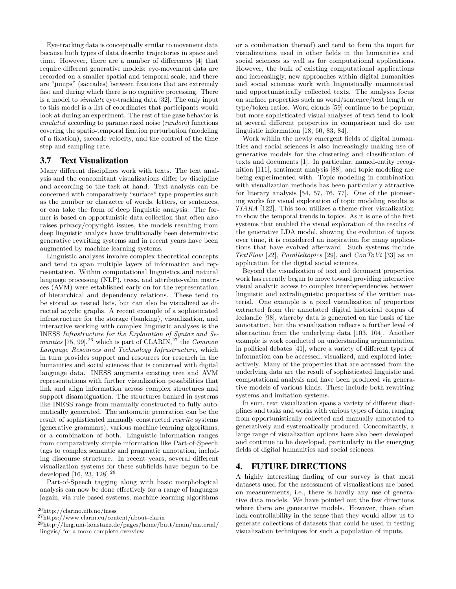Eye-tracking data is conceptually similar to movement data because both types of data describe trajectories in space and time. However, there are a number of differences [\[4\]](#page-8-23) that require different generative models: eye-movement data are recorded on a smaller spatial and temporal scale, and there are "jumps" (saccades) between fixations that are extremely fast and during which there is no cognitive processing. There is a model to *simulate* eye-tracking data [\[32\]](#page-9-21). The only input to this model is a list of coordinates that participants would look at during an experiment. The rest of the gaze behavior is *emulated* according to parametrized noise (*random*) functions covering the spatio-temporal fixation perturbation (modeling of a fixation), saccade velocity, and the control of the time step and sampling rate.

#### 3.7 Text Visualization

Many different disciplines work with texts. The text analysis and the concomitant visualizations differ by discipline and according to the task at hand. Text analysis can be concerned with comparatively "surface" type properties such as the number or character of words, letters, or sentences, or can take the form of deep linguistic analysis. The former is based on opportunistic data collection that often also raises privacy/copyright issues, the models resulting from deep linguistic analysis have traditionally been deterministic generative rewriting systems and in recent years have been augmented by machine learning systems.

Linguistic analyses involve complex theoretical concepts and tend to span multiple layers of information and representation. Within computational linguistics and natural language processing (NLP), trees, and attribute-value matrices (AVM) were established early on for the representation of hierarchical and dependency relations. These tend to be stored as nested lists, but can also be visualized as directed acyclic graphs. A recent example of a sophisticated infrastructure for the storage (banking), visualization, and interactive working with complex linguistic analyses is the INESS *Infrastructure for the Exploration of Syntax and Se* $mantics$  [\[75,](#page-10-22) [99\]](#page-11-23),<sup>[26](#page-6-0)</sup> which is part of CLARIN,<sup>[27](#page-6-1)</sup> the *Common Language Resources and Technology Infrastructure*, which in turn provides support and resources for research in the humanities and social sciences that is concerned with digital language data. INESS augments existing tree and AVM representations with further visualization possibilities that link and align information across complex structures and support disambiguation. The structures banked in systems like INESS range from manually constructed to fully automatically generated. The automatic generation can be the result of sophisticated manually constructed *rewrite* systems (generative grammars), various machine learning algorithms, or a combination of both. Linguistic information ranges from comparatively simple information like Part-of-Speech tags to complex semantic and pragmatic annotation, including discourse structure. In recent years, several different visualization systems for these subfields have begun to be developed [\[16,](#page-8-24) [23,](#page-8-25) [128\]](#page-12-13).<sup>[28](#page-6-2)</sup>

Part-of-Speech tagging along with basic morphological analysis can now be done effectively for a range of languages (again, via rule-based systems, machine learning algorithms or a combination thereof) and tend to form the input for visualizations used in other fields in the humanities and social sciences as well as for computational applications. However, the bulk of existing computational applications and increasingly, new approaches within digital humanities and social sciences work with linguistically unannotated and opportunistically collected texts. The analyses focus on surface properties such as word/sentence/text length or type/token ratios. Word clouds [\[59\]](#page-9-22) continue to be popular, but more sophisticated visual analyses of text tend to look at several different properties in comparison and do use linguistic information [\[18,](#page-8-26) [60,](#page-10-23) [83,](#page-10-24) [84\]](#page-10-25).

Work within the newly emergent fields of digital humanities and social sciences is also increasingly making use of generative models for the clustering and classification of texts and documents [\[1\]](#page-7-1). In particular, named-entity recognition [\[111\]](#page-11-24), sentiment analysis [\[88\]](#page-11-25), and topic modeling are being experimented with. Topic modeling in combination with visualization methods has been particularly attractive for literary analysis [\[54,](#page-9-23) [57,](#page-9-24) [76,](#page-10-26) [77\]](#page-10-27). One of the pioneering works for visual exploration of topic modeling results is *TIARA* [\[122\]](#page-12-14). This tool utilizes a theme-river visualization to show the temporal trends in topics. As it is one of the first systems that enabled the visual exploration of the results of the generative LDA model, showing the evolution of topics over time, it is considered an inspiration for many applications that have evolved afterward. Such systems include *TextFlow* [\[22\]](#page-8-27), *Paralleltopics* [\[29\]](#page-8-28), and *ConToVi* [\[33\]](#page-9-25) as an application for the digital social sciences.

Beyond the visualization of text and document properties, work has recently begun to move toward providing interactive visual analytic access to complex interdependencies between linguistic and extralinguistic properties of the written material. One example is a pixel visualization of properties extracted from the annotated digital historical corpus of Icelandic [\[98\]](#page-11-26), whereby data is generated on the basis of the annotation, but the visualization reflects a further level of abstraction from the underlying data [\[103,](#page-11-27) [104\]](#page-11-28). Another example is work conducted on understanding argumentation in political debates [\[41\]](#page-9-26), where a variety of different types of information can be accessed, visualized, and explored interactively. Many of the properties that are accessed from the underlying data are the result of sophisticated linguistic and computational analysis and have been produced via generative models of various kinds. These include both rewriting systems and imitation systems.

In sum, text visualization spans a variety of different disciplines and tasks and works with various types of data, ranging from opportunistically collected and manually annotated to generatively and systematically produced. Concomitantly, a large range of visualization options have also been developed and continue to be developed, particularly in the emerging fields of digital humanities and social sciences.

## 4. FUTURE DIRECTIONS

A highly interesting finding of our survey is that most datasets used for the assessment of visualizations are based on measurements, i.e., there is hardly any use of generative data models. We have pointed out the few directions where there are generative models. However, these often lack controllability in the sense that they would allow us to generate collections of datasets that could be used in testing visualization techniques for such a population of inputs.

<span id="page-6-0"></span><sup>26</sup><http://clarino.uib.no/iness>

<span id="page-6-1"></span><sup>27</sup><https://www.clarin.eu/content/about-clarin>

<span id="page-6-2"></span><sup>28</sup>[http://ling.uni-konstanz.de/pages/home/butt/main/material/](http://ling.uni-konstanz.de/pages/home/butt/main/material/lingvis/) [lingvis/](http://ling.uni-konstanz.de/pages/home/butt/main/material/lingvis/) for a more complete overview.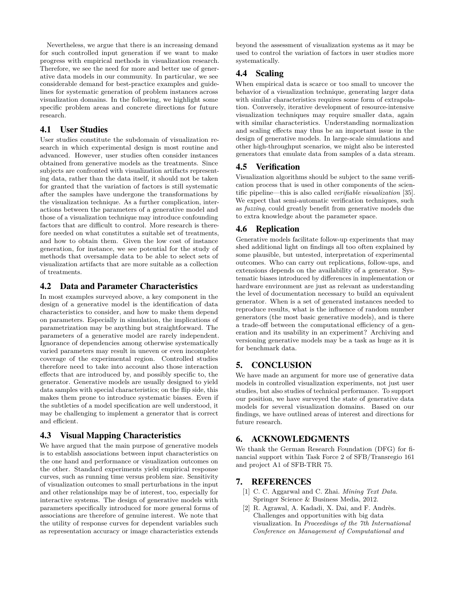Nevertheless, we argue that there is an increasing demand for such controlled input generation if we want to make progress with empirical methods in visualization research. Therefore, we see the need for more and better use of generative data models in our community. In particular, we see considerable demand for best-practice examples and guidelines for systematic generation of problem instances across visualization domains. In the following, we highlight some specific problem areas and concrete directions for future research.

## 4.1 User Studies

User studies constitute the subdomain of visualization research in which experimental design is most routine and advanced. However, user studies often consider instances obtained from generative models as the treatments. Since subjects are confronted with visualization artifacts representing data, rather than the data itself, it should not be taken for granted that the variation of factors is still systematic after the samples have undergone the transformations by the visualization technique. As a further complication, interactions between the parameters of a generative model and those of a visualization technique may introduce confounding factors that are difficult to control. More research is therefore needed on what constitutes a suitable set of treatments, and how to obtain them. Given the low cost of instance generation, for instance, we see potential for the study of methods that oversample data to be able to select sets of visualization artifacts that are more suitable as a collection of treatments.

#### 4.2 Data and Parameter Characteristics

In most examples surveyed above, a key component in the design of a generative model is the identification of data characteristics to consider, and how to make them depend on parameters. Especially in simulation, the implications of parametrization may be anything but straightforward. The parameters of a generative model are rarely independent. Ignorance of dependencies among otherwise systematically varied parameters may result in uneven or even incomplete coverage of the experimental region. Controlled studies therefore need to take into account also those interaction effects that are introduced by, and possibly specific to, the generator. Generative models are usually designed to yield data samples with special characteristics; on the flip side, this makes them prone to introduce systematic biases. Even if the subtleties of a model specification are well understood, it may be challenging to implement a generator that is correct and efficient.

# 4.3 Visual Mapping Characteristics

We have argued that the main purpose of generative models is to establish associations between input characteristics on the one hand and performance or visualization outcomes on the other. Standard experiments yield empirical response curves, such as running time versus problem size. Sensitivity of visualization outcomes to small perturbations in the input and other relationships may be of interest, too, especially for interactive systems. The design of generative models with parameters specifically introduced for more general forms of associations are therefore of genuine interest. We note that the utility of response curves for dependent variables such as representation accuracy or image characteristics extends

beyond the assessment of visualization systems as it may be used to control the variation of factors in user studies more systematically.

## 4.4 Scaling

When empirical data is scarce or too small to uncover the behavior of a visualization technique, generating larger data with similar characteristics requires some form of extrapolation. Conversely, iterative development of resource-intensive visualization techniques may require smaller data, again with similar characteristics. Understanding normalization and scaling effects may thus be an important issue in the design of generative models. In large-scale simulations and other high-throughput scenarios, we might also be interested generators that emulate data from samples of a data stream.

## 4.5 Verification

Visualization algorithms should be subject to the same verification process that is used in other components of the scientific pipeline—this is also called *verifiable visualization* [\[35\]](#page-9-27). We expect that semi-automatic verification techniques, such as *fuzzing*, could greatly benefit from generative models due to extra knowledge about the parameter space.

## 4.6 Replication

Generative models facilitate follow-up experiments that may shed additional light on findings all too often explained by some plausible, but untested, interpretation of experimental outcomes. Who can carry out replications, follow-ups, and extensions depends on the availability of a generator. Systematic biases introduced by differences in implementation or hardware environment are just as relevant as understanding the level of documentation necessary to build an equivalent generator. When is a set of generated instances needed to reproduce results, what is the influence of random number generators (the most basic generative models), and is there a trade-off between the computational efficiency of a generation and its usability in an experiment? Archiving and versioning generative models may be a task as huge as it is for benchmark data.

# 5. CONCLUSION

We have made an argument for more use of generative data models in controlled visualization experiments, not just user studies, but also studies of technical performance. To support our position, we have surveyed the state of generative data models for several visualization domains. Based on our findings, we have outlined areas of interest and directions for future research.

# 6. ACKNOWLEDGMENTS

We thank the German Research Foundation (DFG) for financial support within Task Force 2 of SFB/Transregio 161 and project A1 of SFB-TRR 75.

#### 7. REFERENCES

- <span id="page-7-1"></span>[1] C. C. Aggarwal and C. Zhai. *Mining Text Data*. Springer Science & Business Media, 2012.
- <span id="page-7-0"></span>[2] R. Agrawal, A. Kadadi, X. Dai, and F. Andrès. Challenges and opportunities with big data visualization. In *Proceedings of the 7th International Conference on Management of Computational and*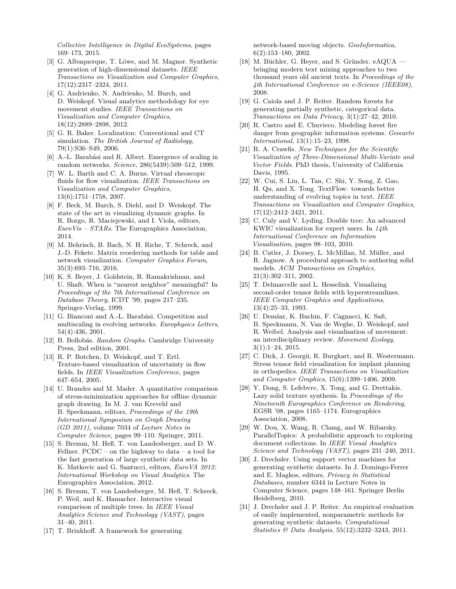*Collective Intelligence in Digital EcoSystems*, pages 169–173, 2015.

- <span id="page-8-14"></span>[3] G. Albuquerque, T. Löwe, and M. Magnor. Synthetic generation of high-dimensional datasets. *IEEE Transactions on Visualization and Computer Graphics*, 17(12):2317–2324, 2011.
- <span id="page-8-23"></span>[4] G. Andrienko, N. Andrienko, M. Burch, and D. Weiskopf. Visual analytics methodology for eye movement studies. *IEEE Transactions on Visualization and Computer Graphics*, 18(12):2889–2898, 2012.
- <span id="page-8-1"></span>[5] G. R. Baker. Localization: Conventional and CT simulation. *The British Journal of Radiology*, 79(1):S36–S49, 2006.
- <span id="page-8-17"></span>[6] A.-L. Barabási and R. Albert. Emergence of scaling in random networks. *Science*, 286(5439):509–512, 1999.
- <span id="page-8-7"></span>[7] W. L. Barth and C. A. Burns. Virtual rheoscopic fluids for flow visualization. *IEEE Transactions on Visualization and Computer Graphics*, 13(6):1751–1758, 2007.
- <span id="page-8-0"></span>[8] F. Beck, M. Burch, S. Diehl, and D. Weiskopf. The state of the art in visualizing dynamic graphs. In R. Borgo, R. Maciejewski, and I. Viola, editors, *EuroVis – STARs*. The Eurographics Association, 2014.
- <span id="page-8-19"></span>[9] M. Behrisch, B. Bach, N. H. Riche, T. Schreck, and J.-D. Fekete. Matrix reordering methods for table and network visualization. *Computer Graphics Forum*, 35(3):693–716, 2016.
- <span id="page-8-10"></span>[10] K. S. Beyer, J. Goldstein, R. Ramakrishnan, and U. Shaft. When is "nearest neighbor" meaningful? In *Proceedings of the 7th International Conference on Database Theory*, ICDT '99, pages 217–235. Springer-Verlag, 1999.
- <span id="page-8-18"></span>[11] G. Bianconi and A.-L. Barabási. Competition and multiscaling in evolving networks. *Europhysics Letters*, 54(4):436, 2001.
- <span id="page-8-16"></span>[12] B. Bollobás. *Random Graphs*. Cambridge University Press, 2nd edition, 2001.
- <span id="page-8-5"></span>[13] R. P. Botchen, D. Weiskopf, and T. Ertl. Texture-based visualization of uncertainty in flow fields. In *IEEE Visualization Conference*, pages 647–654, 2005.
- <span id="page-8-20"></span>[14] U. Brandes and M. Mader. A quantitative comparison of stress-minimization approaches for offline dynamic graph drawing. In M. J. van Kreveld and B. Speckmann, editors, *Proceedings of the 19th International Symposium on Graph Drawing (GD 2011)*, volume 7034 of *Lecture Notes in Computer Science*, pages 99–110. Springer, 2011.
- <span id="page-8-15"></span>[15] S. Bremm, M. Heß, T. von Landesberger, and D. W. Fellner.  $PCDC -$  on the highway to data – a tool for the fast generation of large synthetic data sets. In K. Matkovic and G. Santucci, editors, *EuroVA 2012: International Workshop on Visual Analytics*. The Eurographics Association, 2012.
- <span id="page-8-24"></span>[16] S. Bremm, T. von Landesberger, M. Heß, T. Schreck, P. Weil, and K. Hamacher. Interactive visual comparison of multiple trees. In *IEEE Visual Analytics Science and Technology (VAST)*, pages 31–40, 2011.
- <span id="page-8-22"></span>[17] T. Brinkhoff. A framework for generating

network-based moving objects. *GeoInformatica*, 6(2):153–180, 2002.

- <span id="page-8-26"></span>[18] M. Büchler, G. Heyer, and S. Gründer. eAQUA bringing modern text mining approaches to two thousand years old ancient texts. In *Proceedings of the 4th International Conference on e-Science (IEEE08)*, 2008.
- <span id="page-8-11"></span>[19] G. Caiola and J. P. Reiter. Random forests for generating partially synthetic, categorical data. *Transactions on Data Privacy*, 3(1):27–42, 2010.
- <span id="page-8-2"></span>[20] R. Castro and E. Chuvieco. Modeling forest fire danger from geographic information systems. *Geocarto International*, 13(1):15–23, 1998.
- <span id="page-8-6"></span>[21] R. A. Crawfis. *New Techniques for the Scientific Visualization of Three-Dimensional Multi-Variate and Vector Fields*. PhD thesis, University of California Davis, 1995.
- <span id="page-8-27"></span>[22] W. Cui, S. Liu, L. Tan, C. Shi, Y. Song, Z. Gao, H. Qu, and X. Tong. TextFlow: towards better understanding of evolving topics in text. *IEEE Transactions on Visualization and Computer Graphics*, 17(12):2412–2421, 2011.
- <span id="page-8-25"></span>[23] C. Culy and V. Lyding. Double tree: An advanced KWIC visualization for expert users. In *14th International Conference on Information Visualisation*, pages 98–103, 2010.
- <span id="page-8-4"></span>[24] B. Cutler, J. Dorsey, L. McMillan, M. Müller, and R. Jagnow. A procedural approach to authoring solid models. *ACM Transactions on Graphics*, 21(3):302–311, 2002.
- <span id="page-8-8"></span>[25] T. Delmarcelle and L. Hesselink. Visualizing second-order tensor fields with hyperstreamlines. *IEEE Computer Graphics and Applications*, 13(4):25–33, 1993.
- <span id="page-8-21"></span>[26] U. Demšar, K. Buchin, F. Cagnacci, K. Safi, B. Speckmann, N. Van de Weghe, D. Weiskopf, and R. Weibel. Analysis and visualisation of movement: an interdisciplinary review. *Movement Ecology*, 3(1):1–24, 2015.
- <span id="page-8-9"></span>[27] C. Dick, J. Georgii, R. Burgkart, and R. Westermann. Stress tensor field visualization for implant planning in orthopedics. *IEEE Transactions on Visualization and Computer Graphics*, 15(6):1399–1406, 2009.
- <span id="page-8-3"></span>[28] Y. Dong, S. Lefebvre, X. Tong, and G. Drettakis. Lazy solid texture synthesis. In *Proceedings of the Nineteenth Eurographics Conference on Rendering*, EGSR '08, pages 1165–1174. Eurographics Association, 2008.
- <span id="page-8-28"></span>[29] W. Dou, X. Wang, R. Chang, and W. Ribarsky. ParallelTopics: A probabilistic approach to exploring document collections. In *IEEE Visual Analytics Science and Technology (VAST)*, pages 231–240, 2011.
- <span id="page-8-12"></span>[30] J. Drechsler. Using support vector machines for generating synthetic datasets. In J. Domingo-Ferrer and E. Magkos, editors, *Privacy in Statistical Databases*, number 6344 in Lecture Notes in Computer Science, pages 148–161. Springer Berlin Heidelberg, 2010.
- <span id="page-8-13"></span>[31] J. Drechsler and J. P. Reiter. An empirical evaluation of easily implemented, nonparametric methods for generating synthetic datasets. *Computational Statistics & Data Analysis*, 55(12):3232–3243, 2011.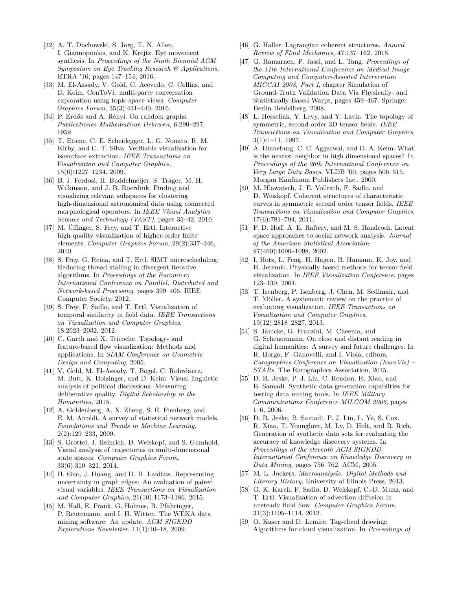- <span id="page-9-21"></span>[32] A. T. Duchowski, S. Jörg, T. N. Allen, I. Giannopoulos, and K. Krejtz. Eye movement synthesis. In *Proceedings of the Ninth Biennial ACM Symposium on Eye Tracking Research & Applications*, ETRA '16, pages 147–154, 2016.
- <span id="page-9-25"></span>[33] M. El-Assady, V. Gold, C. Acevedo, C. Collins, and D. Keim. ConToVi: multi-party conversation exploration using topic-space views. *Computer Graphics Forum*, 35(3):431–440, 2016.
- <span id="page-9-17"></span>[34] P. Erdős and A. Rényi. On random graphs. *Publicationes Mathematicae Debrecen*, 6:290–297, 1959.
- <span id="page-9-27"></span>[35] T. Etiene, C. E. Scheidegger, L. G. Nonato, R. M. Kirby, and C. T. Silva. Verifiable visualization for isosurface extraction. *IEEE Transactions on Visualization and Computer Graphics*, 15(6):1227–1234, 2009.
- <span id="page-9-13"></span>[36] B. J. Ferdosi, H. Buddelmeijer, S. Trager, M. H. Wilkinson, and J. B. Roerdink. Finding and visualizing relevant subspaces for clustering high-dimensional astronomical data using connected morphological operators. In *IEEE Visual Analytics Science and Technology (VAST)*, pages 35–42, 2010.
- <span id="page-9-3"></span>[37] M. Üffinger, S. Frey, and T. Ertl. Interactive high-quality visualization of higher-order finite elements. *Computer Graphics Forum*, 29(2):337–346, 2010.
- <span id="page-9-2"></span>[38] S. Frey, G. Reina, and T. Ertl. SIMT microscheduling: Reducing thread stalling in divergent iterative algorithms. In *Proceedings of the Euromicro International Conference on Parallel, Distributed and Network-based Processing*, pages 399–406. IEEE Computer Society, 2012.
- <span id="page-9-1"></span>[39] S. Frey, F. Sadlo, and T. Ertl. Visualization of temporal similarity in field data. *IEEE Transactions on Visualization and Computer Graphics*, 18:2023–2032, 2012.
- <span id="page-9-6"></span>[40] C. Garth and X. Tricoche. Topology- and feature-based flow visualization: Methods and applications. In *SIAM Conference on Geometric Design and Computing*, 2005.
- <span id="page-9-26"></span>[41] V. Gold, M. El-Assady, T. Bögel, C. Rohrdantz, M. Butt, K. Holzinger, and D. Keim. Visual linguistic analysis of political discussions: Measuring deliberative quality. *Digital Scholarship in the Humanities*, 2015.
- <span id="page-9-16"></span>[42] A. Goldenberg, A. X. Zheng, S. E. Fienberg, and E. M. Airoldi. A survey of statistical network models. *Foundations and Trends in Machine Learning*, 2(2):129–233, 2009.
- <span id="page-9-20"></span>[43] S. Grottel, J. Heinrich, D. Weiskopf, and S. Gumhold. Visual analysis of trajectories in multi-dimensional state spaces. *Computer Graphics Forum*, 33(6):310–321, 2014.
- <span id="page-9-19"></span>[44] H. Guo, J. Huang, and D. H. Laidlaw. Representing uncertainty in graph edges: An evaluation of paired visual variables. *IEEE Transactions on Visualization and Computer Graphics*, 21(10):1173–1186, 2015.
- <span id="page-9-12"></span>[45] M. Hall, E. Frank, G. Holmes, B. Pfahringer, P. Reutemann, and I. H. Witten. The WEKA data mining software: An update. *ACM SIGKDD Explorations Newsletter*, 11(1):10–18, 2009.
- <span id="page-9-4"></span>[46] G. Haller. Lagrangian coherent structures. *Annual Review of Fluid Mechanics*, 47:137–162, 2015.
- <span id="page-9-7"></span>[47] G. Hamarneh, P. Jassi, and L. Tang. *Proceedings of the 11th International Conference on Medical Image Computing and Computer-Assisted Intervention – MICCAI 2008, Part I*, chapter Simulation of Ground-Truth Validation Data Via Physically- and Statistically-Based Warps, pages 459–467. Springer Berlin Heidelberg, 2008.
- <span id="page-9-9"></span>[48] L. Hesselink, Y. Levy, and Y. Lavin. The topology of symmetric, second-order 3D tensor fields. *IEEE Transactions on Visualization and Computer Graphics*, 3(1):1–11, 1997.
- <span id="page-9-11"></span>[49] A. Hinneburg, C. C. Aggarwal, and D. A. Keim. What is the nearest neighbor in high dimensional spaces? In *Proceedings of the 26th International Conference on Very Large Data Bases*, VLDB '00, pages 506–515. Morgan Kaufmann Publishers Inc., 2000.
- <span id="page-9-8"></span>[50] M. Hlawatsch, J. E. Vollrath, F. Sadlo, and D. Weiskopf. Coherent structures of characteristic curves in symmetric second order tensor fields. *IEEE Transactions on Visualization and Computer Graphics*, 17(6):781–794, 2011.
- <span id="page-9-18"></span>[51] P. D. Hoff, A. E. Raftery, and M. S. Handcock. Latent space approaches to social network analysis. *Journal of the American Statistical Association*, 97(460):1090–1098, 2002.
- <span id="page-9-10"></span>[52] I. Hotz, L. Feng, H. Hagen, B. Hamann, K. Joy, and B. Jeremic. Physically based methods for tensor field visualization. In *IEEE Visualization Conference*, pages 123–130, 2004.
- <span id="page-9-0"></span>[53] T. Isenberg, P. Isenberg, J. Chen, M. Sedlmair, and T. Möller. A systematic review on the practice of evaluating visualization. *IEEE Transactions on Visualization and Computer Graphics*, 19(12):2818–2827, 2013.
- <span id="page-9-23"></span>[54] S. Jänicke, G. Franzini, M. Cheema, and G. Scheuermann. On close and distant reading in digital humanities: A survey and future challenges. In R. Borgo, F. Ganovelli, and I. Viola, editors, *Eurographics Conference on Visualization (EuroVis) – STARs*. The Eurographics Association, 2015.
- <span id="page-9-14"></span>[55] D. R. Jeske, P. J. Lin, C. Rendon, R. Xiao, and B. Samadi. Synthetic data generation capabilties for testing data mining tools. In *IEEE Military Communications Conference MILCOM 2006*, pages 1–6, 2006.
- <span id="page-9-15"></span>[56] D. R. Jeske, B. Samadi, P. J. Lin, L. Ye, S. Cox, R. Xiao, T. Younglove, M. Ly, D. Holt, and R. Rich. Generation of synthetic data sets for evaluating the accuracy of knowledge discovery systems. In *Proceedings of the eleventh ACM SIGKDD International Conference on Knowledge Discovery in Data Mining*, pages 756–762. ACM, 2005.
- <span id="page-9-24"></span>[57] M. L. Jockers. *Macroanalysis: Digital Methods and Literary History*. University of Illinois Press, 2013.
- <span id="page-9-5"></span>[58] G. K. Karch, F. Sadlo, D. Weiskopf, C.-D. Munz, and T. Ertl. Visualization of advection-diffusion in unsteady fluid flow. *Computer Graphics Forum*, 31(3):1105–1114, 2012.
- <span id="page-9-22"></span>[59] O. Kaser and D. Lemire. Tag-cloud drawing: Algorithms for cloud visualization. In *Proceedings of*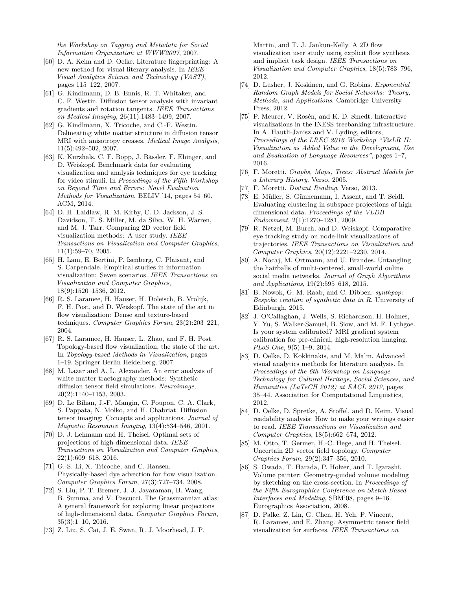*the Workshop on Tagging and Metadata for Social Information Organization at WWW2007*, 2007.

- <span id="page-10-23"></span>[60] D. A. Keim and D. Oelke. Literature fingerprinting: A new method for visual literary analysis. In *IEEE Visual Analytics Science and Technology (VAST)*, pages 115–122, 2007.
- <span id="page-10-11"></span>[61] G. Kindlmann, D. B. Ennis, R. T. Whitaker, and C. F. Westin. Diffusion tensor analysis with invariant gradients and rotation tangents. *IEEE Transactions on Medical Imaging*, 26(11):1483–1499, 2007.
- <span id="page-10-10"></span>[62] G. Kindlmann, X. Tricoche, and C.-F. Westin. Delineating white matter structure in diffusion tensor MRI with anisotropy creases. *Medical Image Analysis*, 11(5):492–502, 2007.
- <span id="page-10-20"></span>[63] K. Kurzhals, C. F. Bopp, J. Bässler, F. Ebinger, and D. Weiskopf. Benchmark data for evaluating visualization and analysis techniques for eye tracking for video stimuli. In *Proceedings of the Fifth Workshop on Beyond Time and Errors: Novel Evaluation Methods for Visualization*, BELIV '14, pages 54–60. ACM, 2014.
- <span id="page-10-5"></span>[64] D. H. Laidlaw, R. M. Kirby, C. D. Jackson, J. S. Davidson, T. S. Miller, M. da Silva, W. H. Warren, and M. J. Tarr. Comparing 2D vector field visualization methods: A user study. *IEEE Transactions on Visualization and Computer Graphics*, 11(1):59–70, 2005.
- <span id="page-10-0"></span>[65] H. Lam, E. Bertini, P. Isenberg, C. Plaisant, and S. Carpendale. Empirical studies in information visualization: Seven scenarios. *IEEE Transactions on Visualization and Computer Graphics*, 18(9):1520–1536, 2012.
- <span id="page-10-2"></span>[66] R. S. Laramee, H. Hauser, H. Doleisch, B. Vrolijk, F. H. Post, and D. Weiskopf. The state of the art in flow visualization: Dense and texture-based techniques. *Computer Graphics Forum*, 23(2):203–221, 2004.
- <span id="page-10-3"></span>[67] R. S. Laramee, H. Hauser, L. Zhao, and F. H. Post. Topology-based flow visualization, the state of the art. In *Topology-based Methods in Visualization*, pages 1–19. Springer Berlin Heidelberg, 2007.
- <span id="page-10-12"></span>[68] M. Lazar and A. L. Alexander. An error analysis of white matter tractography methods: Synthetic diffusion tensor field simulations. *Neuroimage*, 20(2):1140–1153, 2003.
- <span id="page-10-8"></span>[69] D. Le Bihan, J.-F. Mangin, C. Poupon, C. A. Clark, S. Pappata, N. Molko, and H. Chabriat. Diffusion tensor imaging: Concepts and applications. *Journal of Magnetic Resonance Imaging*, 13(4):534–546, 2001.
- <span id="page-10-14"></span>[70] D. J. Lehmann and H. Theisel. Optimal sets of projections of high-dimensional data. *IEEE Transactions on Visualization and Computer Graphics*, 22(1):609–618, 2016.
- <span id="page-10-7"></span>[71] G.-S. Li, X. Tricoche, and C. Hansen. Physically-based dye advection for flow visualization. *Computer Graphics Forum*, 27(3):727–734, 2008.
- <span id="page-10-17"></span>[72] S. Liu, P. T. Bremer, J. J. Jayaraman, B. Wang, B. Summa, and V. Pascucci. The Grassmannian atlas: A general framework for exploring linear projections of high-dimensional data. *Computer Graphics Forum*,  $35(3):1-10$ , 2016.
- <span id="page-10-6"></span>[73] Z. Liu, S. Cai, J. E. Swan, R. J. Moorhead, J. P.

Martin, and T. J. Jankun-Kelly. A 2D flow visualization user study using explicit flow synthesis and implicit task design. *IEEE Transactions on Visualization and Computer Graphics*, 18(5):783–796, 2012.

- <span id="page-10-19"></span>[74] D. Lusher, J. Koskinen, and G. Robins. *Exponential Random Graph Models for Social Networks: Theory, Methods, and Applications*. Cambridge University Press, 2012.
- <span id="page-10-22"></span>[75] P. Meurer, V. Rosén, and K. D. Smedt. Interactive visualizations in the INESS treebanking infrastructure. In A. Hautli-Janisz and V. Lyding, editors, *Proceedings of the LREC 2016 Workshop "VisLR II: Visualization as Added Value in the Development, Use and Evaluation of Language Resources"*, pages 1–7, 2016.
- <span id="page-10-26"></span>[76] F. Moretti. *Graphs, Maps, Trees: Abstract Models for a Literary History*. Verso, 2005.
- <span id="page-10-27"></span>[77] F. Moretti. *Distant Reading*. Verso, 2013.
- <span id="page-10-16"></span>[78] E. Müller, S. Günnemann, I. Assent, and T. Seidl. Evaluating clustering in subspace projections of high dimensional data. *Proceedings of the VLDB Endowment*, 2(1):1270–1281, 2009.
- <span id="page-10-21"></span>[79] R. Netzel, M. Burch, and D. Weiskopf. Comparative eye tracking study on node-link visualizations of trajectories. *IEEE Transactions on Visualization and Computer Graphics*, 20(12):2221–2230, 2014.
- <span id="page-10-18"></span>[80] A. Nocaj, M. Ortmann, and U. Brandes. Untangling the hairballs of multi-centered, small-world online social media networks. *Journal of Graph Algorithms and Applications*, 19(2):595–618, 2015.
- <span id="page-10-15"></span>[81] B. Nowok, G. M. Raab, and C. Dibben. *synthpop: Bespoke creation of synthetic data in R*. University of Edinburgh, 2015.
- <span id="page-10-9"></span>[82] J. O'Callaghan, J. Wells, S. Richardson, H. Holmes, Y. Yu, S. Walker-Samuel, B. Siow, and M. F. Lythgoe. Is your system calibrated? MRI gradient system calibration for pre-clinical, high-resolution imaging. *PLoS One*, 9(5):1–9, 2014.
- <span id="page-10-24"></span>[83] D. Oelke, D. Kokkinakis, and M. Malm. Advanced visual analytics methods for literature analysis. In *Proceedings of the 6th Workshop on Language Technology for Cultural Heritage, Social Sciences, and Humanities (LaTeCH 2012) at EACL 2012*, pages 35–44. Association for Computational Linguistics, 2012.
- <span id="page-10-25"></span>[84] D. Oelke, D. Spretke, A. Stoffel, and D. Keim. Visual readability analysis: How to make your writings easier to read. *IEEE Transactions on Visualization and Computer Graphics*, 18(5):662–674, 2012.
- <span id="page-10-4"></span>[85] M. Otto, T. Germer, H.-C. Hege, and H. Theisel. Uncertain 2D vector field topology. *Computer Graphics Forum*, 29(2):347–356, 2010.
- <span id="page-10-1"></span>[86] S. Owada, T. Harada, P. Holzer, and T. Igarashi. Volume painter: Geometry-guided volume modeling by sketching on the cross-section. In *Proceedings of the Fifth Eurographics Conference on Sketch-Based Interfaces and Modeling*, SBM'08, pages 9–16. Eurographics Association, 2008.
- <span id="page-10-13"></span>[87] D. Palke, Z. Lin, G. Chen, H. Yeh, P. Vincent, R. Laramee, and E. Zhang. Asymmetric tensor field visualization for surfaces. *IEEE Transactions on*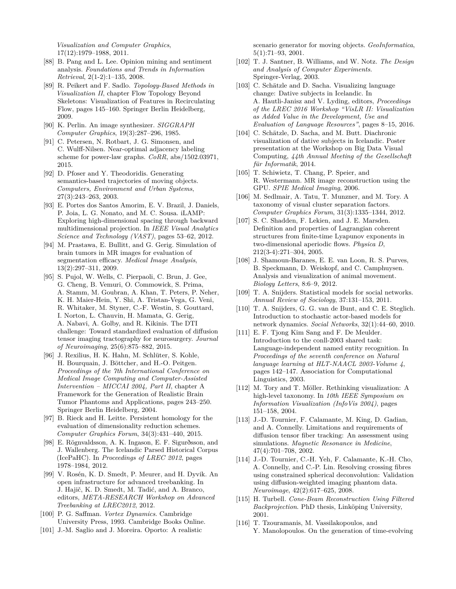*Visualization and Computer Graphics*, 17(12):1979–1988, 2011.

- <span id="page-11-25"></span>[88] B. Pang and L. Lee. Opinion mining and sentiment analysis. *Foundations and Trends in Information Retrieval*, 2(1-2):1–135, 2008.
- <span id="page-11-7"></span>[89] R. Peikert and F. Sadlo. *Topology-Based Methods in Visualization II*, chapter Flow Topology Beyond Skeletons: Visualization of Features in Recirculating Flow, pages 145–160. Springer Berlin Heidelberg, 2009.
- <span id="page-11-4"></span>[90] K. Perlin. An image synthesizer. *SIGGRAPH Computer Graphics*, 19(3):287–296, 1985.
- <span id="page-11-17"></span>[91] C. Petersen, N. Rotbart, J. G. Simonsen, and C. Wulff-Nilsen. Near-optimal adjacency labeling scheme for power-law graphs. *CoRR*, abs/1502.03971, 2015.
- <span id="page-11-20"></span>[92] D. Pfoser and Y. Theodoridis. Generating semantics-based trajectories of moving objects. *Computers, Environment and Urban Systems*, 27(3):243–263, 2003.
- <span id="page-11-15"></span>[93] E. Portes dos Santos Amorim, E. V. Brazil, J. Daniels, P. Joia, L. G. Nonato, and M. C. Sousa. iLAMP: Exploring high-dimensional spacing through backward multidimensional projection. In *IEEE Visual Analytics Science and Technology (VAST)*, pages 53–62, 2012.
- <span id="page-11-11"></span>[94] M. Prastawa, E. Bullitt, and G. Gerig. Simulation of brain tumors in MR images for evaluation of segmentation efficacy. *Medical Image Analysis*, 13(2):297–311, 2009.
- <span id="page-11-8"></span>[95] S. Pujol, W. Wells, C. Pierpaoli, C. Brun, J. Gee, G. Cheng, B. Vemuri, O. Commowick, S. Prima, A. Stamm, M. Goubran, A. Khan, T. Peters, P. Neher, K. H. Maier-Hein, Y. Shi, A. Tristan-Vega, G. Veni, R. Whitaker, M. Styner, C.-F. Westin, S. Gouttard, I. Norton, L. Chauvin, H. Mamata, G. Gerig, A. Nabavi, A. Golby, and R. Kikinis. The DTI challenge: Toward standardized evaluation of diffusion tensor imaging tractography for neurosurgery. *Journal of Neuroimaging*, 25(6):875–882, 2015.
- <span id="page-11-12"></span>[96] J. Rexilius, H. K. Hahn, M. Schlüter, S. Kohle, H. Bourquain, J. Böttcher, and H.-O. Peitgen. *Proceedings of the 7th International Conference on Medical Image Computing and Computer-Assisted Intervention – MICCAI 2004, Part II*, chapter A Framework for the Generation of Realistic Brain Tumor Phantoms and Applications, pages 243–250. Springer Berlin Heidelberg, 2004.
- <span id="page-11-14"></span>[97] B. Rieck and H. Leitte. Persistent homology for the evaluation of dimensionality reduction schemes. *Computer Graphics Forum*, 34(3):431–440, 2015.
- <span id="page-11-26"></span>[98] E. Rögnvaldsson, A. K. Ingason, E. F. Sigurðsson, and J. Wallenberg. The Icelandic Parsed Historical Corpus (IcePaHC). In *Proceedings of LREC 2012*, pages 1978–1984, 2012.
- <span id="page-11-23"></span>[99] V. Rosén, K. D. Smedt, P. Meurer, and H. Dyvik. An open infrastructure for advanced treebanking. In J. Hajič, K. D. Smedt, M. Tadić, and A. Branco, editors, *META-RESEARCH Workshop on Advanced Treebanking at LREC2012*, 2012.
- <span id="page-11-6"></span>[100] P. G. Saffman. *Vortex Dynamics*. Cambridge University Press, 1993. Cambridge Books Online.
- <span id="page-11-22"></span>[101] J.-M. Saglio and J. Moreira. Oporto: A realistic

scenario generator for moving objects. *GeoInformatica*, 5(1):71–93, 2001.

- <span id="page-11-0"></span>[102] T. J. Santner, B. Williams, and W. Notz. *The Design and Analysis of Computer Experiments*. Springer-Verlag, 2003.
- <span id="page-11-27"></span>[103] C. Schätzle and D. Sacha. Visualizing language change: Dative subjects in Icelandic. In A. Hautli-Janisz and V. Lyding, editors, *Proceedings of the LREC 2016 Workshop "VisLR II: Visualization as Added Value in the Development, Use and Evaluation of Language Resources"*, pages 8–15, 2016.
- <span id="page-11-28"></span>[104] C. Schätzle, D. Sacha, and M. Butt. Diachronic visualization of dative subjects in Icelandic. Poster presentation at the Workshop on Big Data Visual Computing, *44th Annual Meeting of the Gesellschaft für Informatik*, 2014.
- <span id="page-11-3"></span>[105] T. Schiwietz, T. Chang, P. Speier, and R. Westermann. MR image reconstruction using the GPU. *SPIE Medical Imaging*, 2006.
- <span id="page-11-13"></span>[106] M. Sedlmair, A. Tatu, T. Munzner, and M. Tory. A taxonomy of visual cluster separation factors. *Computer Graphics Forum*, 31(3):1335–1344, 2012.
- <span id="page-11-5"></span>[107] S. C. Shadden, F. Lekien, and J. E. Marsden. Definition and properties of Lagrangian coherent structures from finite-time Lyapunov exponents in two-dimensional aperiodic flows. *Physica D*, 212(3-4):271–304, 2005.
- <span id="page-11-19"></span>[108] J. Shamoun-Baranes, E. E. van Loon, R. S. Purves, B. Speckmann, D. Weiskopf, and C. Camphuysen. Analysis and visualization of animal movement. *Biology Letters*, 8:6–9, 2012.
- <span id="page-11-16"></span>[109] T. A. Snijders. Statistical models for social networks. *Annual Review of Sociology*, 37:131–153, 2011.
- <span id="page-11-18"></span>[110] T. A. Snijders, G. G. van de Bunt, and C. E. Steglich. Introduction to stochastic actor-based models for network dynamics. *Social Networks*, 32(1):44–60, 2010.
- <span id="page-11-24"></span>[111] E. F. Tjong Kim Sang and F. De Meulder. Introduction to the conll-2003 shared task: Language-independent named entity recognition. In *Proceedings of the seventh conference on Natural language learning at HLT-NAACL 2003-Volume 4*, pages 142–147. Association for Computational Linguistics, 2003.
- <span id="page-11-1"></span>[112] M. Tory and T. Möller. Rethinking visualization: A high-level taxonomy. In *10th IEEE Symposium on Information Visualization (InfoVis 2004)*, pages 151–158, 2004.
- <span id="page-11-10"></span>[113] J.-D. Tournier, F. Calamante, M. King, D. Gadian, and A. Connelly. Limitations and requirements of diffusion tensor fiber tracking: An assessment using simulations. *Magnetic Resonance in Medicine*, 47(4):701–708, 2002.
- <span id="page-11-9"></span>[114] J.-D. Tournier, C.-H. Yeh, F. Calamante, K.-H. Cho, A. Connelly, and C.-P. Lin. Resolving crossing fibres using constrained spherical deconvolution: Validation using diffusion-weighted imaging phantom data. *Neuroimage*, 42(2):617–625, 2008.
- <span id="page-11-2"></span>[115] H. Turbell. *Cone-Beam Reconstruction Using Filtered Backprojection*. PhD thesis, Linköping University, 2001.
- <span id="page-11-21"></span>[116] T. Tzouramanis, M. Vassilakopoulos, and Y. Manolopoulos. On the generation of time-evolving